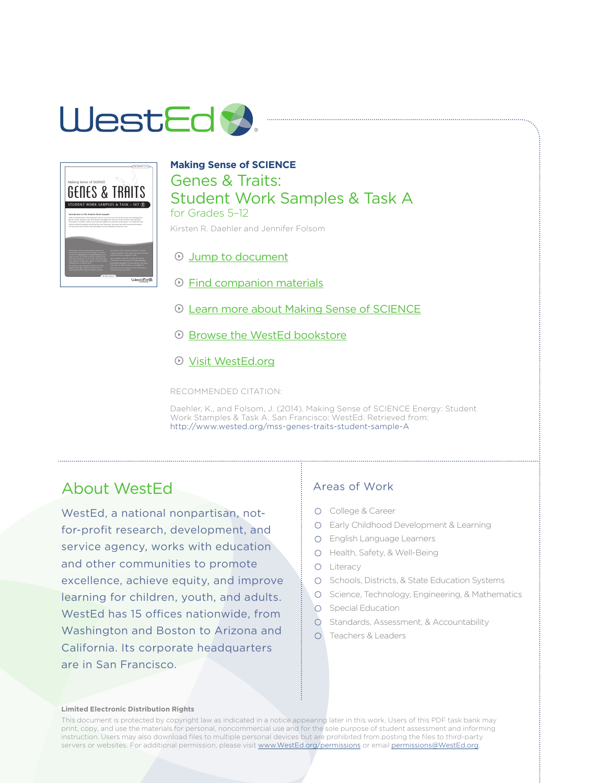### WestEd **A**



#### **Making Sense of SCIENCE**  Genes & Traits: Student Work Samples & Task A for Grades 5–12 Kirsten R. Daehler and Jennifer Folsom

[Jump to document](#page-1-0)

- [Find companion materials](http://www.wested.org/mssw)
- [Learn more about Making Sense of SCIENCE](http://www.wested.org/mss)
- **E** [Browse the WestEd bookstore](http://www.wested.org/bookstore)
- [Visit WestEd.org](http://www.wested.org)

RECOMMENDED CITATION:

Daehler, K., and Folsom, J. (2014). Making Sense of SCIENCE Energy: Student Work Stamples & Task A. San Francisco: WestEd. Retrieved from: [http://](http://www.wested.org/mss-genes-traits-student-sample-A)www.wested.org/mss-genes-traits-student-sample-A

### About WestEd

WestEd, a national nonpartisan, notfor-profit research, development, and service agency, works with education and other communities to promote excellence, achieve equity, and improve learning for children, youth, and adults. WestEd has 15 offices nationwide, from Washington and Boston to Arizona and California. Its corporate headquarters are in San Francisco.

#### Areas of Work

- O College & Career
- Early Childhood Development & Learning
- English Language Learners
- O Health, Safety, & Well-Being
- O Literacy
- O Schools, Districts, & State Education Systems
- O Science, Technology, Engineering, & Mathematics
- **O** Special Education
- O Standards, Assessment, & Accountability
- Teachers & Leaders

#### **Limited Electronic Distribution Rights**

This document is protected by copyright law as indicated in a notice appearing later in this work. Users of this PDF task bank may print, copy, and use the materials for personal, noncommercial use and for the sole purpose of student assessment and informing instruction. Users may also download files to multiple personal devices but are prohibited from posting the files to third-party servers or websites. For additional permission, please visit <www.WestEd.org/permissions> or email [permissions@WestEd.org.](mailto:permissions@WestEd.org)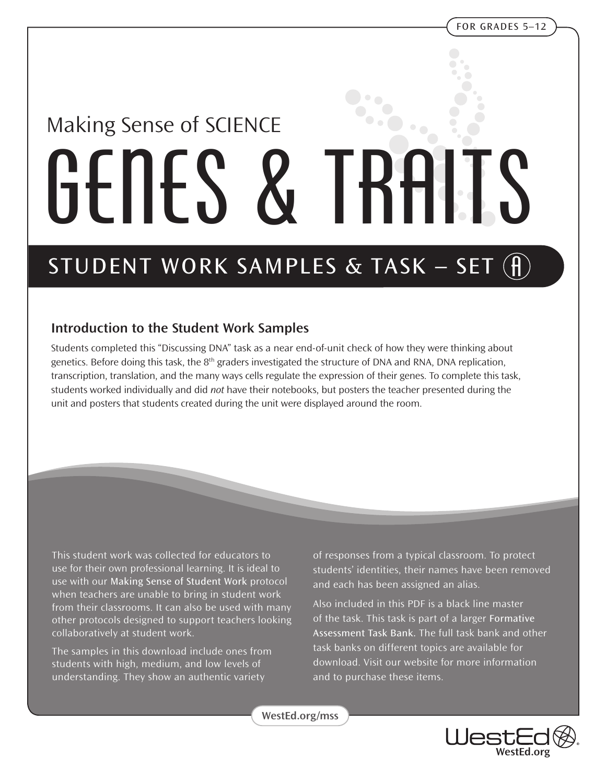# <span id="page-1-0"></span>Making Sense of SCIENCE GENES & TRAITS

### **STUDENT WORK SAMPLES & TASK – SET (f)**

#### **Introduction to the Student Work Samples**

Students completed this "Discussing DNA" task as a near end-of-unit check of how they were thinking about genetics. Before doing this task, the  $8<sup>th</sup>$  graders investigated the structure of DNA and RNA, DNA replication, transcription, translation, and the many ways cells regulate the expression of their genes. To complete this task, students worked individually and did *not* have their notebooks, but posters the teacher presented during the unit and posters that students created during the unit were displayed around the room.

This student work was collected for educators to use for their own professional learning. It is ideal to use with our **Making Sense of Student Work** protocol when teachers are unable to bring in student work from their classrooms. It can also be used with many other protocols designed to support teachers looking collaboratively at student work.

The samples in this download include ones from students with high, medium, and low levels of understanding. They show an authentic variety

of responses from a typical classroom. To protect students' identities, their names have been removed and each has been assigned an alias.

Also included in this PDF is a black line master of the task. This task is part of a larger **Formative Assessment Task Bank.** The full task bank and other task banks on different topics are available for download. Visit our website for more information and to purchase these items.

**[WestEd.org/mss](http://www.wested.org/mss)**

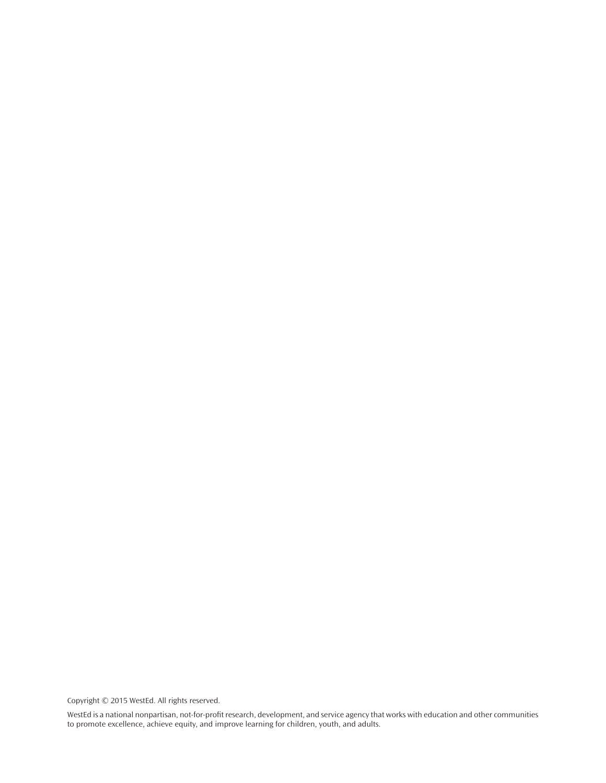Copyright © 2015 WestEd. All rights reserved.

WestEd is a national nonpartisan, not-for-profit research, development, and service agency that works with education and other communities to promote excellence, achieve equity, and improve learning for children, youth, and adults.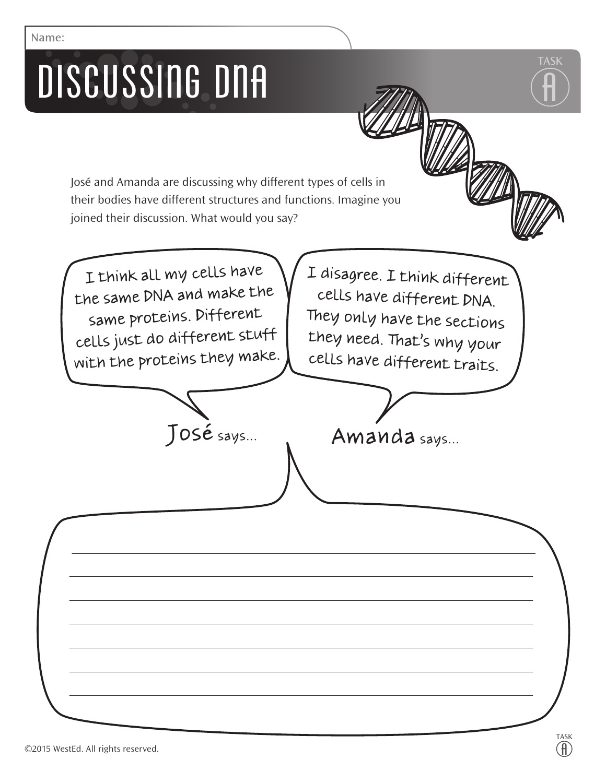## DISCUSSING DNA

**Name:**

José and Amanda are discussing why different types of cells in their bodies have different structures and functions. Imagine you joined their discussion. What would you say?

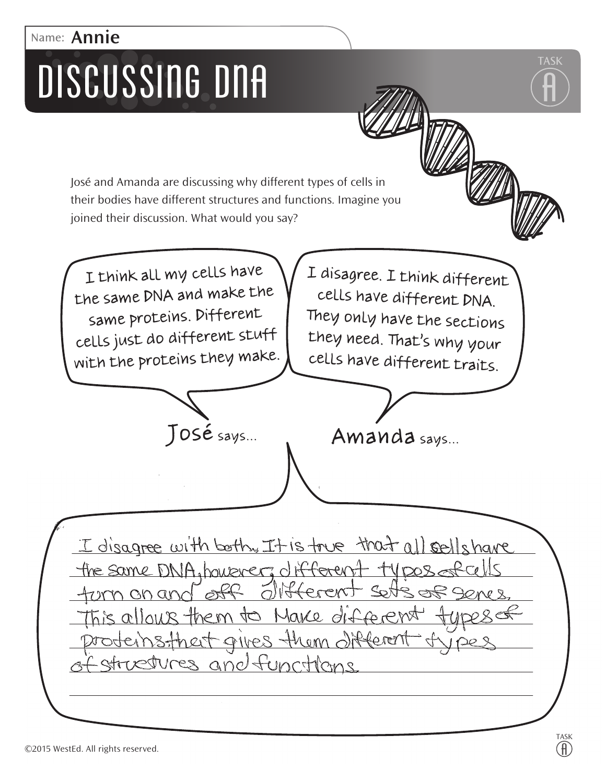### **Name: Annie**

## DISCUSSING DNA

José and Amanda are discussing why different types of cells in their bodies have different structures and functions. Imagine you joined their discussion. What would you say?

I think all my cells have the same DNA and make the same proteins. Different cells just do different stuff with the proteins they make.

I disagree. I think different cells have different DNA. They only have the sections they need. That's why your cells have different traits.



I disagree with both, It is true that all sells have the same DNA, however, different types of cells Herent Sett <u>um an anc</u> This allows them to Make different roteinstheit gives them offerent structures and functions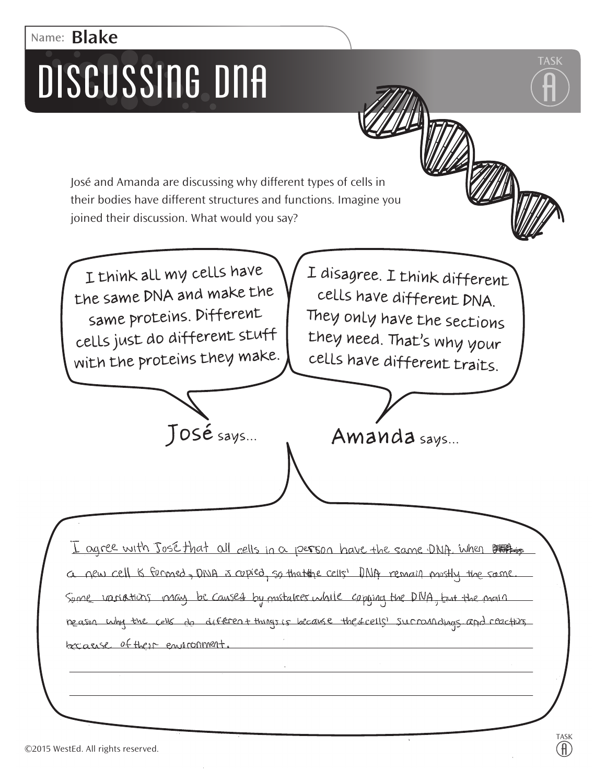### **Name: Blake**DISCUSSING DNA

José and Amanda are discussing why different types of cells in their bodies have different structures and functions. Imagine you joined their discussion. What would you say?

I think all my cells have the same DNA and make the same proteins. Different cells just do different stuff with the proteins they make. I disagree. I think different cells have different DNA. They only have the sections they need. That's why your cells have different traits.

**TASK**

 $\ddot{\widehat{\mathsf{H}}}$ 

I agree with José that all cells in a person have the same DNA. When LER new cell is formed, DINA is copied, so that the cells' DNA remain mostly the same Spone variations may be caused by mustakes while captured the DNA, Ent the main neason why the cells do different things is because the frells' sucraindings and reactions because of their empropment.

José says... Amanda says...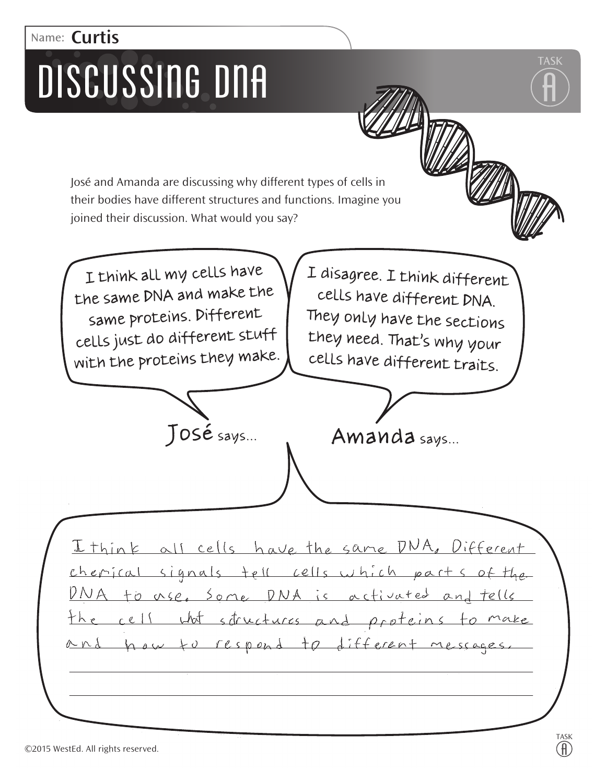### **Name: Curtis**

## DISCUSSING DNA

José and Amanda are discussing why different types of cells in their bodies have different structures and functions. Imagine you joined their discussion. What would you say?

I think all my cells have the same DNA and make the same proteins. Different cells just do different stuff with the proteins they make.

I disagree. I think different cells have different DNA. They only have the sections they need. That's why your cells have different traits.



I think all cells have the same DNA, Different erical signals tell cells which parts of to use, Some DNA is activated structures and proteins to respond to different messages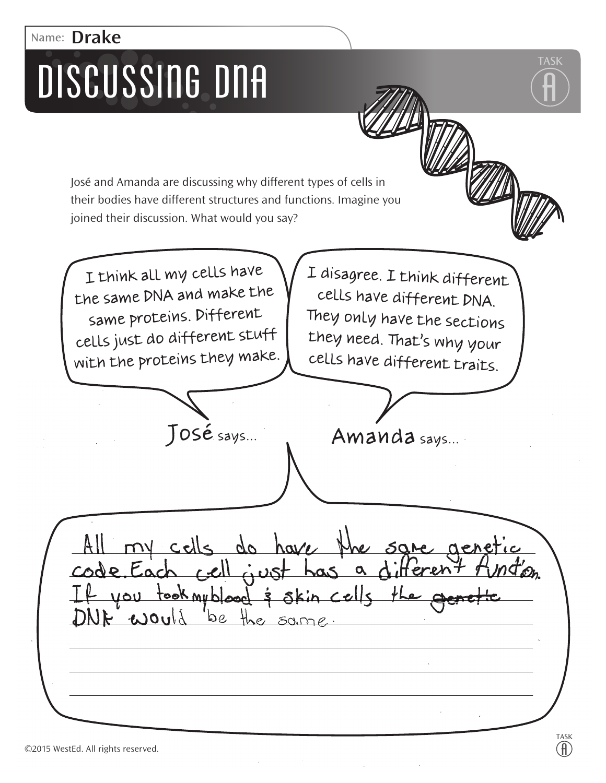### **Name: Drake**DISCUSSING DNA

José and Amanda are discussing why different types of cells in their bodies have different structures and functions. Imagine you joined their discussion. What would you say?

I think all my cells have the same DNA and make the same proteins. Different cells just do different stuff with the proteins they make.

I disagree. I think different cells have different DNA. They only have the sections they need. That's why your cells have different traits.

José says... Amanda says...

cells do have  $col="c$ code, Each - you took myblood & skin cells th  $J_{\nu}$ oul be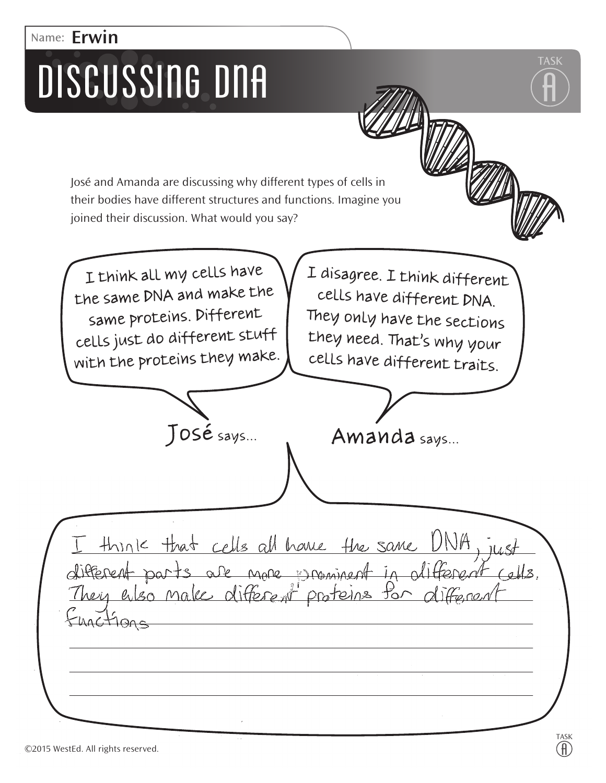### **Name: Erwin**DISCUSSING DNA

José and Amanda are discussing why different types of cells in their bodies have different structures and functions. Imagine you joined their discussion. What would you say?

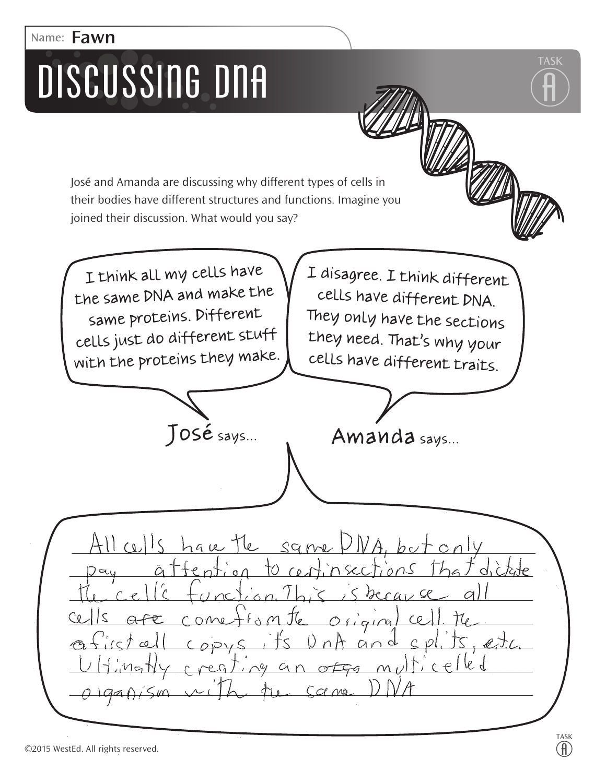### **Name: Fawn**

## DISCUSSING DNA

José and Amanda are discussing why different types of cells in their bodies have different structures and functions. Imagine you joined their discussion. What would you say?

I think all my cells have I disagree. I think different the same DNA and make the cells have different DNA. same proteins. Different They only have the sections cells just do different stuff they need. That's why your with the proteins they make. cells have different traits. José says... Amanda says...  $\omega$ <sup>15</sup> The same  $A.$  but  $ha$ ke

 $\sim$ er O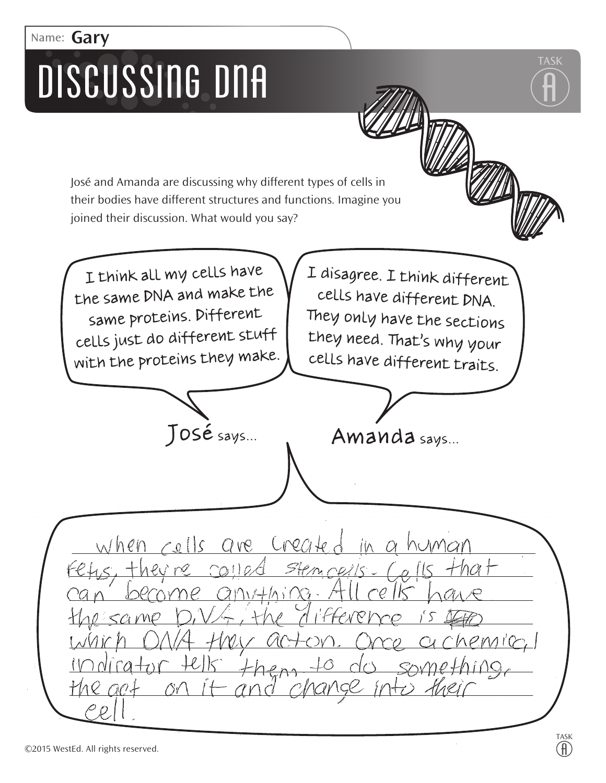### **Name: Gary**

## DISCUSSING DNA

José and Amanda are discussing why different types of cells in their bodies have different structures and functions. Imagine you joined their discussion. What would you say?

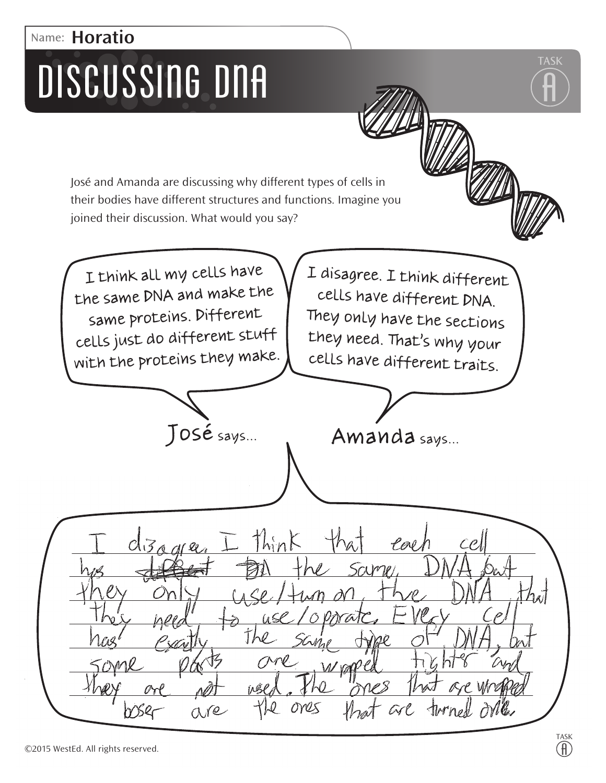### **Name: Horatio**

## DISCUSSING DNA

José and Amanda are discussing why different types of cells in their bodies have different structures and functions. Imagine you joined their discussion. What would you say?

I think all my cells have I disagree. I think different the same DNA and make the cells have different DNA. same proteins. Different They only have the sections cells just do different stuff they need. That's why your with the proteins they make. cells have different traits. José says... Amanda says... think  $C\sqrt{3}$  and Pal CP,

are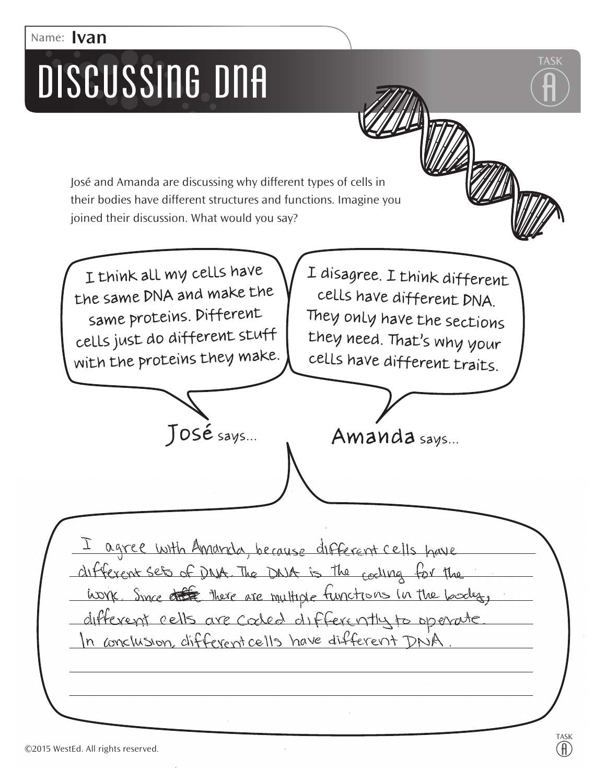### **Name: Ivan**

## DISCUSSING DNA

José and Amanda are discussing why different types of cells in their bodies have different structures and functions. Imagine you joined their discussion. What would you say?

I think all my cells have the same DNA and make the same proteins. Different cells just do different stuff with the proteins they make.

I disagree. I think different cells have different DNA. They only have the sections they need. That's why your cells have different traits.



agree with Amarda, because different cells have different sets of DNA. The DNA is the cooling for the work Since of there are multiple functions in the body, different cells are coded differently to operate In conclusion, different cells have different DNA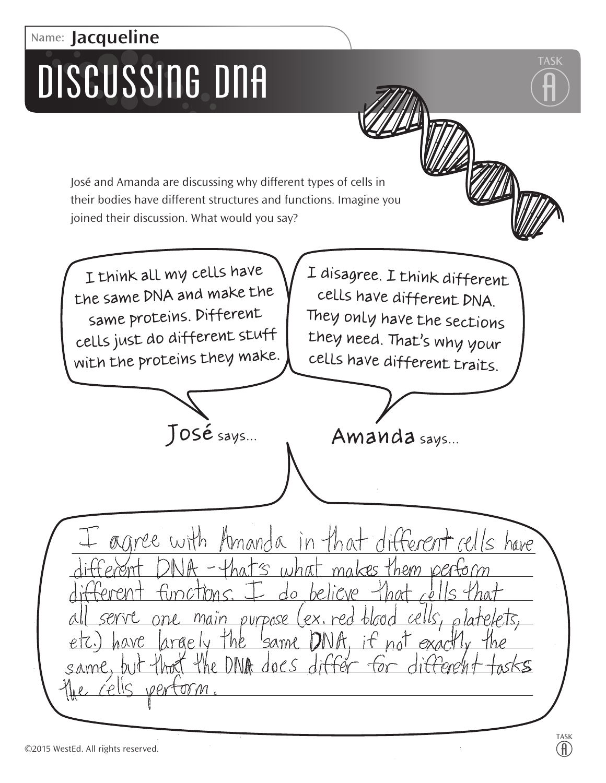### **Name: Jacqueline**

## DISCUSSING DNA

José and Amanda are discussing why different types of cells in their bodies have different structures and functions. Imagine you joined their discussion. What would you say?

 $4$ he DNA



**TASK**